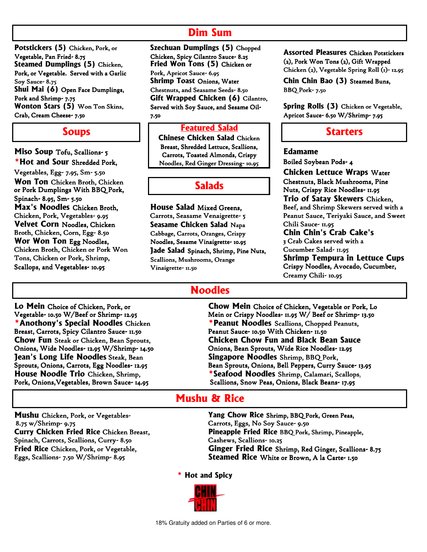**Wonton Stars (5)** Won Ton Skins, Crab, Cream Cheese- 7.50 **Steamed Dumplings (5)** Chicken, Pork, or Vegetable. Served with a Garlic Soy Sauce- 8.75 **Shui Mai (6)** Open Face Dumplings, Pork and Shrimp- 7.75 **Potstickers (5)** Chicken, Pork, or Vegetable, Pan Fried- 8.75

## **Miso Soup** Tofu, Scallions- 5 **\*Hot and Sour** Shredded Pork,

Chicken, Pork, Vegetables- 9.95 **Velvet Corn** Noodles, Chicken **Wor Won Ton** Egg Noodles, Chicken Broth, Chicken or Pork Won Tons, Chicken or Pork, Shrimp, or Pork Dumplings With BBQ Pork, Spinach- 8.95, Sm- 5.50 Broth, Chicken, Corn, Egg- 8.50 Scallops, and Vegetables- 10.95 **Max's Noodles** Chicken Broth, Vegetables, Egg- 7.95, Sm- 5.50 **Won Ton** Chicken Broth, Chicken

# **Dim Sum**

**Fried Won Tons (5)** Chicken or Pork, Apricot Sauce- 6.95 **Szechuan Dumplings (5)** Chopped Chicken, Spicy Cilantro Sauce- 8.25 **Gift Wrapped Chicken (6)** Cilantro, Served with Soy Sauce, and Sesame Oil-7.50 **Shrimp Toast** Onions, Water Chestnuts, and Seasame Seeds- 8.50

# **Featured Salad Soups**

**Chinese Chicken Salad** Chicken Breast, Shredded Lettuce, Scallions, Carrots, Toasted Almonds, Crispy Noodles, Red Ginger Dressing- 10.95

# **Salads**

**Jade Salad** Spinach, Shrimp, Pine Nuts, Scallions, Mushrooms, Orange Vinaigrette- 11.50 **Seasame Chicken Salad** Napa Cabbage, Carrots, Oranges, Crispy Noodles, Sesame Vinaigrette- 10.95 **House Salad** Mixed Greens, Carrots, Seasame Venaigrette- 5

**Assorted Pleasures** Chicken Potstickers (2), Pork Won Tons (2), Gift Wrapped Chicken (2), Vegetable Spring Roll (1)- 12.95

**Chin Chin Bao (3)** Steamed Buns, BBQ Pork- 7.50

**Spring Rolls (3)** Chicken or Vegetable, Apricot Sauce- 6.50 W/Shrimp- 7.95

## **Starters**

#### **Edamame**

**Chin Chin's Crab Cake's Chicken Lettuce Wraps** Water Chili Sauce- 11.95 **Trio of Satay Skewers** Chicken, Chestnuts, Black Mushrooms, Pine Nuts, Crispy Rice Noodles- 11.95 Beef, and Shrimp Skewers served with a Peanut Sauce, Teriyaki Sauce, and Sweet Boiled Soybean Pods- 4 **Shrimp Tempura in Lettuce Cups**  Crispy Noodles, Avocado, Cucumber, Creamy Chili- 10.95 3 Crab Cakes served with a Cucumber Salad- 11.95

**Lo Mein** Choice of Chicken, Pork, or Vegetable- 10.50 W/Beef or Shrimp- 12.95 **\*Anothony's Special Noodles** Chicken **Chow Fun** Steak or Chicken, Bean Sprouts, **Jean's Long Life Noodles** Steak, Bean **House Noodle Trio** Chicken, Shrimp, Breast, Carrots, Spicy Cilantro Sauce- 11.50 Onions, Wide Noodles- 12.95 W/Shrimp- 14.50 Sprouts, Onions, Carrots, Egg Noodles- 12.95 Pork, Onions,Vegetables, Brown Sauce- 14.95

# **Noodles**

**\*Seafood Noodles** Shrimp, Calamari, Scallops, Mein or Crispy Noodles- 11.95 W/ Beef or Shrimp- 13.50 Peanut Sauce- 10.50 With Chicken- 11.50 Onions, Bean Sprouts, Wide Rice Noodles- 12.95 Bean Sprouts, Onions, Bell Peppers, Curry Sauce- 13.95 **Chow Mein** Choice of Chicken, Vegetable or Pork, Lo **\*Peanut Noodles** Scallions, Chopped Peanuts, **Chicken Chow Fun and Black Bean Sauce Singapore Noodles** Shrimp, BBQ Pork, Scallions, Snow Peas, Onions, Black Beans- 17.95

# **Mushu & Rice**

 8.75 w/Shrimp- 9.75 Spinach, Carrots, Scallions, Curry- 8.50 Eggs, Scallions- 7.50 W/Shrimp- 8.95 **Mushu** Chicken, Pork, or Vegetables-**Curry Chicken Fried Rice** Chicken Breast, **Fried Rice** Chicken, Pork, or Vegetable,

**Ginger Fried Rice** Shrimp, Red Ginger, Scallions- 8.75 **Steamed Rice** White or Brown, A la Carte- 1.50 **Pineapple Fried Rice** BBQ Pork, Shrimp, Pineapple, Carrots, Eggs, No Soy Sauce- 9.50 Cashews, Scallions- 10.25 **Yang Chow Rice** Shrimp, BBQ Pork, Green Peas,

### **\* Hot and Spicy**

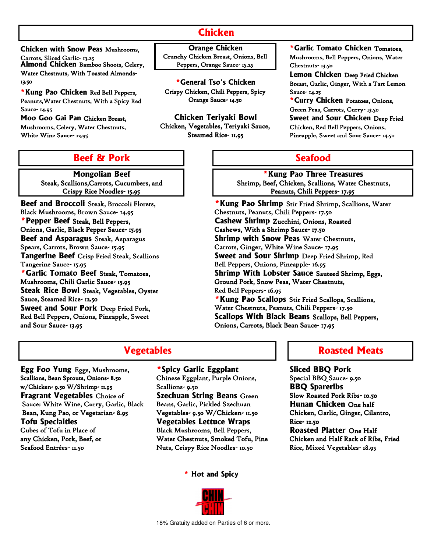# **Chicken**

**Chicken with Snow Peas** Mushrooms, Carrots, Sliced Garlic- 13.25 **Almond Chicken** Bamboo Shoots, Celery, Water Chestnuts, With Toasted Almonds-13.50

**\*Kung Pao Chicken** Red Bell Peppers, Peanuts,Water Chestnuts, With a Spicy Red Sauce- 14.05

**Moo Goo Gai Pan** Chicken Breast, Mushrooms, Celery, Water Chestnuts, White Wine Sauce- 12.95

# **Beef & Pork Seafood**

### **Mongolian Beef**

Crispy Rice Noodles- 15.95

Black Mushrooms, Brown Sauce- 14.95 Onions, Garlic, Black Pepper Sauce- 15.95 Spears, Carrots, Brown Sauce- 15.95 Mushrooms, Chili Garlic Sauce- 15.95 Tangerine Sauce- 15.95 **\*Garlic Tomato Beef** Steak, Tomatoes, **Steak Rice Bowl** Steak, Vegetables, Oyster **Sweet and Sour Pork** Deep Fried Pork, and Sour Sauce- 13.95 **Beef and Broccoli** Steak, Broccoli Florets, **\*Pepper Beef** Steak, Bell Peppers, **Tangerine Beef** Crisp Fried Steak, Scallions **Beef and Asparagus** Steak, Asparagus

**Orange Chicken** Crunchy Chicken Breast, Onions, Bell Peppers, Orange Sauce- 15.25

**\*General Tso's Chicken**  Crispy Chicken, Chili Peppers, Spicy Orange Sauce- 14.50

**Chicken Teriyaki Bowl** Chicken, Vegetables, Teriyaki Sauce, Steamed Rice- 11.95

**\*Garlic Tomato Chicken** Tomatoes, Mushrooms, Bell Peppers, Onions, Water Chestnuts- 13.50

**Lemon Chicken** Deep Fried Chicken Breast, Garlic, Ginger, With a Tart Lemon Sauce- 14.25

**Sweet and Sour Chicken** Deep Fried Chicken, Red Bell Peppers, Onions, Pineapple, Sweet and Sour Sauce- 14.50 **\*Curry Chicken** Potatoes, Onions, Green Peas, Carrots, Curry- 13.50

Steak, Scallions,Carrots, Cucumbers, and Shrimp, Beef, Chicken, Scallions, Water Chestnuts, **\*Kung Pao Three Treasures**  Peanuts, Chili Peppers- 17.95

Water Chestnuts, Peanuts, Chili Peppers- 17.50 Onions, Carrots, Black Bean Sauce- 17.95 Red Bell Peppers- 16.95 Red Bell Peppers, Onions, Pineapple, Sweet **Scallops With Black Beans** Scallops, Bell Peppers, Chestnuts, Peanuts, Chili Peppers- 17.50 Cashews, With a Shrimp Sauce- 17.50 Carrots, Ginger, White Wine Sauce- 17.95 Bell Peppers, Onions, Pineapple- 16.95 Ground Pork, Snow Peas, Water Chestnuts, **Sweet and Sour Shrimp** Deep Fried Shrimp, Red **Shrimp With Lobster Sauce** Sauteed Shrimp, Eggs, Sauce, Steamed Rice- 12.50 **\*Kung Pao Scallops** Stir Fried Scallops, Scallions, **\*Kung Pao Shrimp** Stir Fried Shrimp, Scallions, Water **Cashew Shrimp** Zucchini, Onions, Roasted **Shrimp with Snow Peas** Water Chestnuts,

# **Vegetables**

Cubes of Tofu in Place of **Vegetables Lettuce Wraps Tofu Specialties** Rice- 12.50 Bean, Kung Pao, or Vegetarian- 8.95 Sauce: White Wine, Curry, Garlic, Black **Fragrant Vegetables** Choice of any Chicken, Pork, Beef, or Seafood Entrées- 11.50 Scallions, Bean Sprouts, Onions- 8.50 w/Chicken- 9.50 W/Shrimp- 11.95 **Egg Foo Yung** Eggs, Mushrooms,

Nuts, Crispy Rice Noodles- 10.50 Scallions- 9.50 Beans, Garlic, Pickled Szechuan Vegetables- 9.50 W/Chicken- 11.50 Black Mushrooms, Bell Peppers, **Szechuan String Beans** Green Water Chestnuts, Smoked Tofu, Pine **\*Spicy Garlic Eggplant**  Chinese Eggplant, Purple Onions,

**\* Hot and Spicy**



**Roasted Meats**

Chicken and Half Rack of Ribs, Fried Rice, Mixed Vegetables- 18.95 Chicken, Garlic, Ginger, Cilantro, **Sliced BBQ Pork** Special BBQ Sauce- 9.50 **BBQ Spareribs Roasted Platter** One Half Slow Roasted Pork Ribs- 10.50 **Hunan Chicken** One half

18% Gratuity added on Parties of 6 or more.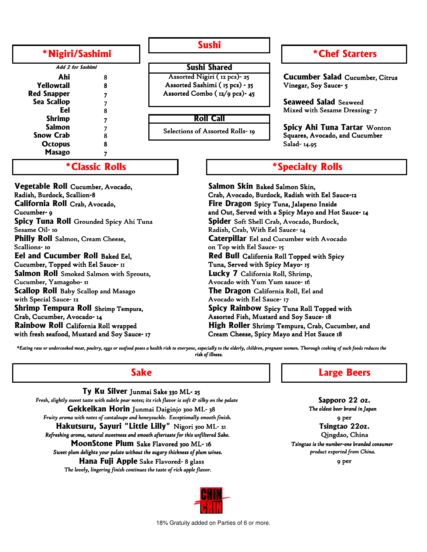# **\*Nigiri/Sashimi**

| Add 2 for Sashimi  |   |  |
|--------------------|---|--|
| Ahi                | 8 |  |
| Yellowtail         | 8 |  |
| <b>Red Snapper</b> | 7 |  |
| Sea Scallop        | 7 |  |
| Eel                | 8 |  |
| <b>Shrimp</b>      | 7 |  |
| Salmon             | 7 |  |
| <b>Snow Crab</b>   | 8 |  |
| <b>Octopus</b>     | 8 |  |
| <b>Masago</b>      | 7 |  |

**California Roll** Crab, Avocado,

Radish, Burdock, Scallion-8

Cucumber- 9

Sesame Oil- 10

Scallions- 10

Cucumber, Yamagobo- 11

with Special Sauce- 12

**Salmon Roll** Smoked Salmon with Sprouts,

with fresh seafood, Mustard and Soy Sauce- 17

**Spicy Tuna Roll** Grounded Spicy Ahi Tuna

**Scallop Roll** Baby Scallop and Masago

Cucumber, Topped with Eel Sauce- 11

**Eel and Cucumber Roll** Baked Eel,

**Philly Roll** Salmon, Cream Cheese,

**Sushi**

## **Sushi Shared**

Assorted Nigiri ( 12 pcs)- 25 Assorted Sashimi ( 15 pcs) - 35 Assorted Combo ( 12/9 pcs)- 45

### **Roll Call**

Selections of Assorted Rolls- 19

# **\*Chef Starters**

**Cucumber Salad** Cucumber, Citrus Vinegar, Soy Sauce- 5

**Seaweed Salad** Seaweed Mixed with Sesame Dressing- 7

Salad- 14.95 **Spicy Ahi Tuna Tartar** Wonton Squares, Avocado, and Cucumber

# **\*Classic Rolls \*Specialty Rolls**

on Top with Eel Sauce- 15 Tuna, Served with Spicy Mayo- 15 Avocado with Yum Yum sauce- 16 Cream Cheese, Spicy Mayo and Hot Sauce 18 and Out, Served with a Spicy Mayo and Hot Sauce- 14 Radish, Crab, With Eel Sauce- 14 Crab, Cucumber, Avocado- 14 Assorted Fish, Mustard and Soy Sauce-18 Crab, Avocado, Burdock, Radish with Eel Sauce-12 **Vegetable Roll** Cucumber, Avocado, **Salmon Skin** Baked Salmon Skin, Avocado with Eel Sauce- 17 **Shrimp Tempura Roll** Shrimp Tempura, **Spicy Rainbow** Spicy Tuna Roll Topped with **Rainbow Roll** California Roll wrapped **High Roller** Shrimp Tempura, Crab, Cucumber, and **Lucky 7** California Roll, Shrimp, **The Dragon** California Roll, Eel and **Fire Dragon** Spicy Tuna, Jalapeno Inside **Spider** Soft Shell Crab, Avocado, Burdock, **Caterpillar** Eel and Cucumber with Avocado **Red Bull** California Roll Topped with Spicy

*\*Eating raw or undercooked meat, poultry, eggs or seafood poses a health risk to everyone, especially to the elderly, children, pregnant women. Thorough cooking of such foods reduces the risk of illness.* 

## **Sake**

**Hakutsuru, Sayuri "Little Lilly"** Nigori 300 ML- 21 **MoonStone Plum** Sake Flavored 300 ML-16 **Hana Fuji Apple** Sake Flavored- 8 glass *Refreshing aroma, natural sweetness and smooth aftertaste for this unfiltered Sake. Sweet plum delights your palate without the sugary thickness of plum wines. The lovely, lingering finish continues the taste of rich apple flavor.* Gekkeikan Horin Junmai Daiginjo 300 ML-38 *Fruity aroma with notes of cantaloupe and honeysuckle. Exceptionally smooth finish.* **Ty Ku Silver** Junmai Sake 330 ML- 25 *Fresh, slightly sweet taste with subtle pear notes; its rich flavor is soft & silky on the palate*



**Large Beers**

Qingdao, China *Tsingtao is the number-one branded consumer product exported from China.* **Tsingtao 22oz.** *The oldest beer brand in Japan* 9 per **Sapporo 22 oz.**

9 per

18% Gratuity added on Parties of 6 or more.